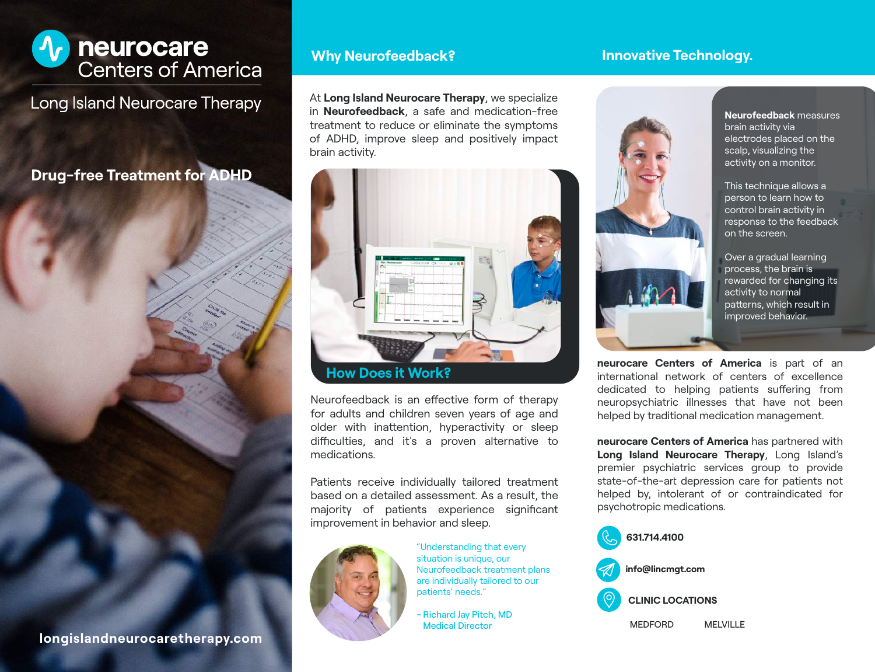

**Long Island Neurocare Therapy** 

**Drug-free Treatment for ADHD**



#### **longislandneurocaretherapy.com**

### **Why Neurofeedback?**

At **Long Island Neurocare Therapy**, we specialize in **Neurofeedback**, a safe and medication-free treatment to reduce or eliminate the symptoms of ADHD, improve sleep and positively impact brain activity.



Neurofeedback is an effective form of therapy for adults and children seven years of age and older with inattention, hyperactivity or sleep difficulties, and it's a proven alternative to medications.

Patients receive individually tailored treatment based on a detailed assessment. As a result, the majority of patients experience significant improvement in behavior and sleep.



"Understanding that every situation is unique, our Neurofeedback treatment plans are individually tailored to our patients' needs."

- Richard Jay Pitch, MD Medical Director

# **Innovative Technology.**



**Neurofeedback** measures brain activity via electrodes placed on the scalp, visualizing the activity on a monitor.

This technique allows a person to learn how to control brain activity in response to the feedback on the screen.

Over a gradual learning process, the brain is rewarded for changing its activity to normal patterns, which result in improved behavior.

**neurocare Centers of America** is part of an international network of centers of excellence dedicated to helping patients suffering from neuropsychiatric illnesses that have not been helped by traditional medication management.

**neurocare Centers of America** has partnered with **Long Island Neurocare Therapy**, Long Island's premier psychiatric services group to provide state-of-the-art depression care for patients not helped by, intolerant of or contraindicated for psychotropic medications.